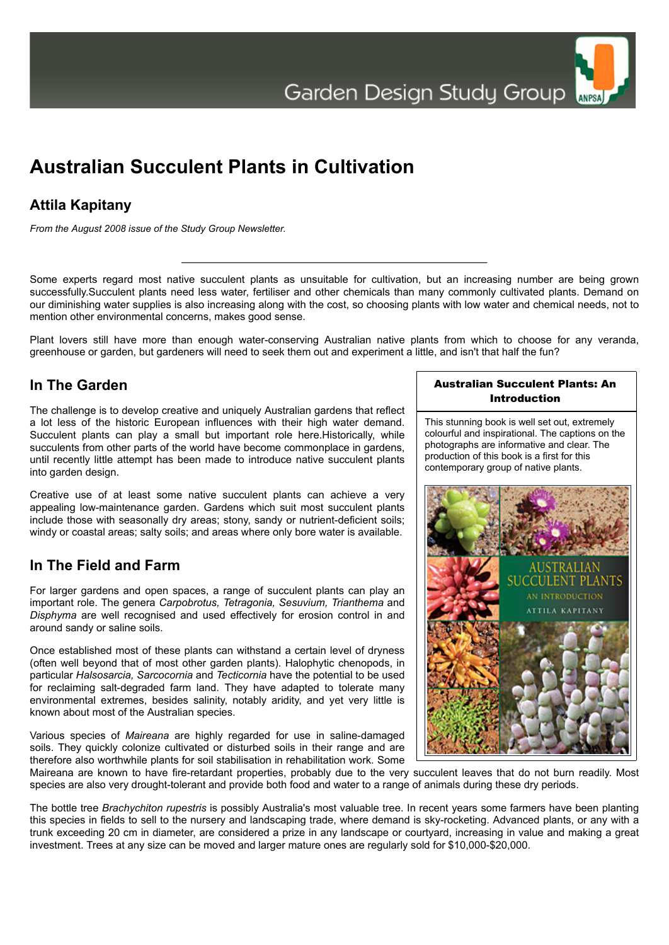

# **Australian Succulent Plants in Cultivation**

# **Attila Kapitany**

*From the August 2008 issue of the Study Group Newsletter.*

Some experts regard most native succulent plants as unsuitable for cultivation, but an increasing number are being grown successfully.Succulent plants need less water, fertiliser and other chemicals than many commonly cultivated plants. Demand on our diminishing water supplies is also increasing along with the cost, so choosing plants with low water and chemical needs, not to mention other environmental concerns, makes good sense.

Plant lovers still have more than enough water-conserving Australian native plants from which to choose for any veranda, greenhouse or garden, but gardeners will need to seek them out and experiment a little, and isn't that half the fun?

### **In The Garden**

The challenge is to develop creative and uniquely Australian gardens that reflect a lot less of the historic European influences with their high water demand. Succulent plants can play a small but important role here.Historically, while succulents from other parts of the world have become commonplace in gardens, until recently little attempt has been made to introduce native succulent plants into garden design.

Creative use of at least some native succulent plants can achieve a very appealing low-maintenance garden. Gardens which suit most succulent plants include those with seasonally dry areas; stony, sandy or nutrient-deficient soils; windy or coastal areas; salty soils; and areas where only bore water is available.

# **In The Field and Farm**

For larger gardens and open spaces, a range of succulent plants can play an important role. The genera *Carpobrotus, Tetragonia, Sesuvium, Trianthema* and *Disphyma* are well recognised and used effectively for erosion control in and around sandy or saline soils.

Once established most of these plants can withstand a certain level of dryness (often well beyond that of most other garden plants). Halophytic chenopods, in particular *Halsosarcia, Sarcocornia* and *Tecticornia* have the potential to be used for reclaiming salt-degraded farm land. They have adapted to tolerate many environmental extremes, besides salinity, notably aridity, and yet very little is known about most of the Australian species.

Various species of *Maireana* are highly regarded for use in saline-damaged soils. They quickly colonize cultivated or disturbed soils in their range and are therefore also worthwhile plants for soil stabilisation in rehabilitation work. Some

#### Australian Succulent Plants: An Introduction

This stunning book is well set out, extremely colourful and inspirational. The captions on the photographs are informative and clear. The production of this book is a first for this contemporary group of native plants.



Maireana are known to have fire-retardant properties, probably due to the very succulent leaves that do not burn readily. Most species are also very drought-tolerant and provide both food and water to a range of animals during these dry periods.

The bottle tree *Brachychiton rupestris* is possibly Australia's most valuable tree. In recent years some farmers have been planting this species in fields to sell to the nursery and landscaping trade, where demand is sky-rocketing. Advanced plants, or any with a trunk exceeding 20 cm in diameter, are considered a prize in any landscape or courtyard, increasing in value and making a great investment. Trees at any size can be moved and larger mature ones are regularly sold for \$10,000-\$20,000.